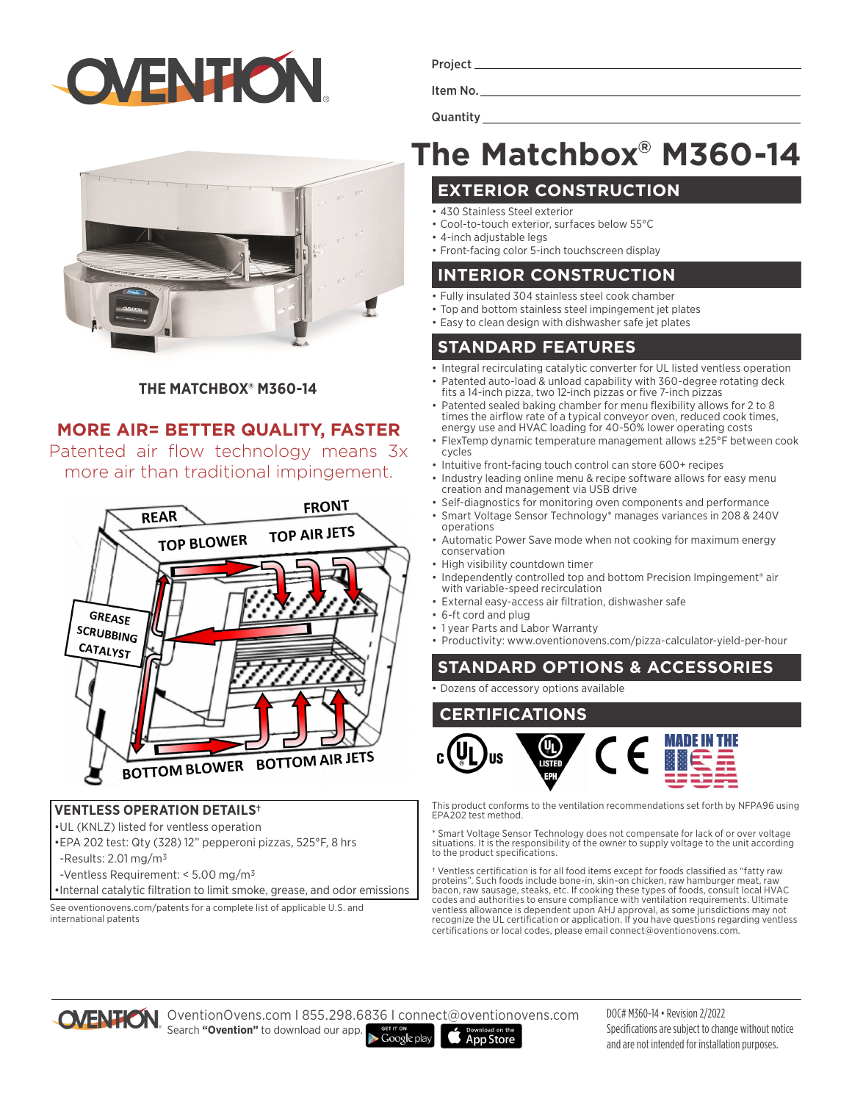



#### **THE MATCHBOX® M360-14**

#### **MORE AIR= BETTER QUALITY, FASTER**

Patented air flow technology means 3x more air than traditional impingement.



#### **VENTLESS OPERATION DETAILS†**

- •UL (KNLZ) listed for ventless operation
- •EPA 202 test: Qty (328) 12" pepperoni pizzas, 525°F, 8 hrs
- -Results:  $2.01 \,\mathrm{mg/m^3}$
- -Ventless Requirement: < 5.00 mg/m3
- •Internal catalytic filtration to limit smoke, grease, and odor emissions

See oventionovens.com/patents for a complete list of applicable U.S. and international patents

Project\_

Item No.

**Quantity** 

# **The Matchbox® M360-14**

#### **EXTERIOR CONSTRUCTION**

- 430 Stainless Steel exterior
- Cool-to-touch exterior, surfaces below 55°C
- 4-inch adjustable legs
- Front-facing color 5-inch touchscreen display

#### **INTERIOR CONSTRUCTION**

- Fully insulated 304 stainless steel cook chamber
- Top and bottom stainless steel impingement jet plates
- Easy to clean design with dishwasher safe jet plates

### **STANDARD FEATURES**

- Integral recirculating catalytic converter for UL listed ventless operation
- Patented auto-load & unload capability with 360-degree rotating deck fits a 14-inch pizza, two 12-inch pizzas or five 7-inch pizzas
- Patented sealed baking chamber for menu flexibility allows for 2 to 8 times the airflow rate of a typical conveyor oven, reduced cook times, energy use and HVAC loading for 40-50% lower operating costs
- FlexTemp dynamic temperature management allows ±25°F between cook cycles
- Intuitive front-facing touch control can store 600+ recipes
- Industry leading online menu & recipe software allows for easy menu creation and management via USB drive
- Self-diagnostics for monitoring oven components and performance • Smart Voltage Sensor Technology\* manages variances in 208 & 240V
- operations • Automatic Power Save mode when not cooking for maximum energy conservation
- High visibility countdown timer
- Independently controlled top and bottom Precision Impingement<sup>®</sup> air with variable-speed recirculation
- External easy-access air filtration, dishwasher safe
- 6-ft cord and plug
- 1 year Parts and Labor Warranty
- Productivity: www.oventionovens.com/pizza-calculator-yield-per-hour

# **STANDARD OPTIONS & ACCESSORIES**

• Dozens of accessory options available

# **CERTIFICATIONS**



This product conforms to the ventilation recommendations set forth by NFPA96 using EPA202 test method.

\* Smart Voltage Sensor Technology does not compensate for lack of or over voltage situations. It is the responsibility of the owner to supply voltage to the unit according to the product specifications.

† Ventless certification is for all food items except for foods classified as "fatty raw proteins". Such foods include bone-in, skin-on chicken, raw hamburger meat, raw bacon, raw sausage, steaks, etc. If cooking these types of foods, consult local HVAC codes and authorities to ensure compliance with ventilation requirements. Ultimate ventless allowance is dependent upon AHJ approval, as some jurisdictions may not recognize the UL certification or application. If you have questions regarding ventless certifications or local codes, please email connect@oventionovens.com.



OVENTION OventionOvens.com | 855.298.6836 | connect@oventionovens.com **COVENTION DIVERSION IN COOLLY AND SEARCH "Ovention"** to download our app. **App Store** 

DOC# M360-14 • Revision 2/2022 Specifications are subject to change without notice and are not intended for installation purposes.